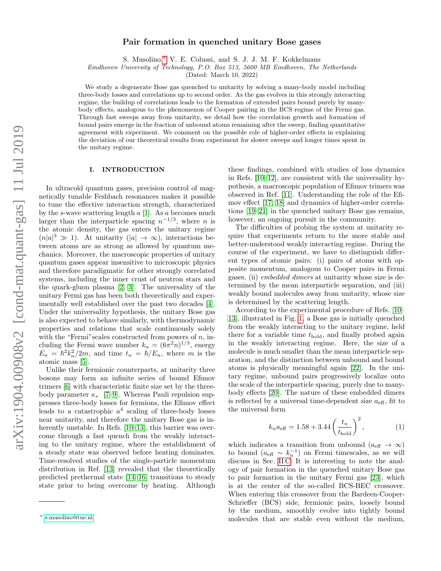# Pair formation in quenched unitary Bose gases

S. Musolino,[∗](#page-0-0) V. E. Colussi, and S. J. J. M. F. Kokkelmans

Eindhoven University of Technology, P.O. Box 513, 5600 MB Eindhoven, The Netherlands

(Dated: March 10, 2022)

We study a degenerate Bose gas quenched to unitarity by solving a many-body model including three-body losses and correlations up to second order. As the gas evolves in this strongly interacting regime, the buildup of correlations leads to the formation of extended pairs bound purely by manybody effects, analogous to the phenomenon of Cooper pairing in the BCS regime of the Fermi gas. Through fast sweeps away from unitarity, we detail how the correlation growth and formation of bound pairs emerge in the fraction of unbound atoms remaining after the sweep, finding quantitative agreement with experiment. We comment on the possible role of higher-order effects in explaining the deviation of our theoretical results from experiment for slower sweeps and longer times spent in the unitary regime.

### I. INTRODUCTION

In ultracold quantum gases, precision control of magnetically tunable Feshbach resonances makes it possible to tune the effective interaction strength, characterized by the s-wave scattering length  $a$  [\[1\]](#page-8-0). As a becomes much larger than the interparticle spacing  $n^{-1/3}$ , where n is the atomic density, the gas enters the unitary regime  $(n|a|^3 \gg 1)$ . At unitarity  $(|a| \to \infty)$ , interactions between atoms are as strong as allowed by quantum mechanics. Moreover, the macroscopic properties of unitary quantum gases appear insensitive to microscopic physics and therefore paradigmatic for other strongly correlated systems, including the inner crust of neutron stars and the quark-gluon plasma [\[2,](#page-8-1) [3\]](#page-8-2). The universality of the unitary Fermi gas has been both theoretically and experimentally well established over the past two decades [\[4\]](#page-8-3). Under the universality hypothesis, the unitary Bose gas is also expected to behave similarly, with thermodynamic properties and relations that scale continuously solely with the "Fermi" scales constructed from powers of  $n$ , including the Fermi wave number  $k_n = (6\pi^2 n)^{1/3}$ , energy  $E_n = \hbar^2 k_n^2 / 2m$ , and time  $t_n = \hbar / E_n$ , where m is the atomic mass [\[5\]](#page-8-4).

Unlike their fermionic counterparts, at unitarity three bosons may form an infinite series of bound Efimov trimers [\[6\]](#page-8-5) with characteristic finite size set by the threebody parameter  $\kappa_*$  [\[7–](#page-8-6)[9\]](#page-8-7). Whereas Pauli repulsion suppresses three-body losses for fermions, the Efimov effect leads to a catastrophic  $a^4$  scaling of three-body losses near unitarity, and therefore the unitary Bose gas is in-herently unstable. In Refs. [\[10–](#page-8-8)[13\]](#page-8-9), this barrier was overcome through a fast quench from the weakly interacting to the unitary regime, where the establishment of a steady state was observed before heating dominates. Time-resolved studies of the single-particle momentum distribution in Ref. [\[13\]](#page-8-9) revealed that the theoretically predicted prethermal state [\[14](#page-8-10)[–16\]](#page-8-11) transitions to steady state prior to being overcome by heating. Although

these findings, combined with studies of loss dynamics in Refs. [\[10–](#page-8-8)[12\]](#page-8-12), are consistent with the universality hypothesis, a macroscopic population of Efimov trimers was observed in Ref. [\[11\]](#page-8-13). Understanding the role of the Efimov effect [\[17,](#page-8-14) [18\]](#page-8-15) and dynamics of higher-order correlations [\[19](#page-8-16)[–21\]](#page-8-17) in the quenched unitary Bose gas remains, however, an ongoing pursuit in the community.

The difficulties of probing the system at unitarity require that experiments return to the more stable and better-understood weakly interacting regime. During the course of the experiment, we have to distinguish different types of atomic pairs: (i) pairs of atoms with opposite momentum, analogous to Cooper pairs in Fermi gases, (ii) embedded dimers at unitarity whose size is determined by the mean interparticle separation, and (iii) weakly bound molecules away from unitarity, whose size is determined by the scattering length.

According to the experimental procedure of Refs. [\[10–](#page-8-8) [13\]](#page-8-9), illustrated in Fig. [1,](#page-1-0) a Bose gas is initially quenched from the weakly interacting to the unitary regime, held there for a variable time  $t_{hold}$ , and finally probed again in the weakly interacting regime. Here, the size of a molecule is much smaller than the mean interparticle separation, and the distinction between unbound and bound atoms is physically meaningful again [\[22\]](#page-8-18). In the unitary regime, unbound pairs progressively localize onto the scale of the interparticle spacing, purely due to manybody effects [\[20\]](#page-8-19). The nature of these embedded dimers is reflected by a universal time-dependent size  $a_{\text{eff}}$ , fit to the universal form

<span id="page-0-1"></span>
$$
k_n a_{\text{eff}} = 1.58 + 3.44 \left(\frac{t_n}{t_{\text{hold}}}\right)^2, \tag{1}
$$

which indicates a transition from unbound ( $a_{\text{eff}} \rightarrow \infty$ ) to bound  $(a_{\text{eff}} \sim k_n^{-1})$  on Fermi timescales, as we will discuss in Sec. [II C.](#page-3-0) It is interesting to note the analogy of pair formation in the quenched unitary Bose gas to pair formation in the unitary Fermi gas [\[23\]](#page-8-20), which is at the center of the so-called BCS-BEC crossover. When entering this crossover from the Bardeen-Cooper-Schrieffer (BCS) side, fermionic pairs, loosely bound by the medium, smoothly evolve into tightly bound molecules that are stable even without the medium,

<span id="page-0-0"></span><sup>∗</sup> [s.musolino@tue.nl](mailto:s.musolino@tue.nl)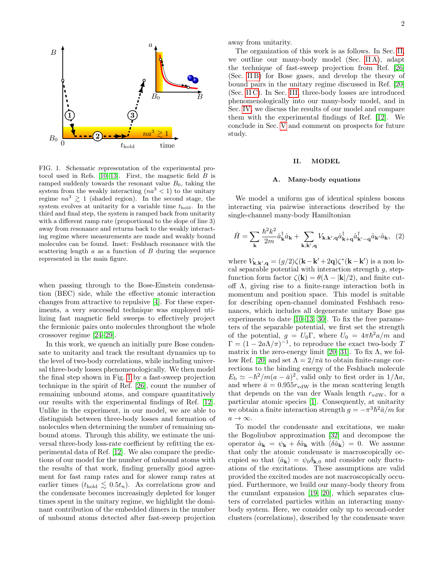

<span id="page-1-0"></span>FIG. 1. Schematic representation of the experimental pro-FIG. 1. Schematic representation of the experimental protocol used in Refs.  $[10-13]$  $[10-13]$ . First, the magnetic field  $\overrightarrow{B}$  is ramped suddenly towards the resonant value  $B_0$ , taking the system from the weakly interacting  $(na^3 < 1)$  to the unitary regime  $na^3 \geq 1$  (shaded region). In the second stage, the system evolves at unitarity for a variable time  $t_{\text{hold}}$ . In the third and final step, the system is ramped back from unitar-with a different ramp rate (proportional to the slope of line 3) with a different ramp rate (proportional to the slope of life 3)<br>away from resonance and returns back to the weakly interacting regime where measurements are made and weakly bound molecules can be found. Inset: Feshbach resonance with the scattering length  $a$  as a function of  $B$  during the sequence represented in the main figure. third and final step, the system is ramped back from unitarity

changes from attractive to repulsive [4]. For [th](#page-8-3)ese experiments, a very successful technique was employed utilizing fast magnetic field sweeps to effectively project the fermionic pairs onto molecules throughout the whole when passing through to the Bose-Einstein condensation (BEC) side, while the effective atomic interaction crossover regime [\[24](#page-8-21)[–29\]](#page-8-22).

 $\frac{1}{2}$  roless crossover regnine  $\frac{1}{2}$  and  $\frac{1}{2}$ . In this work, we quench an initially pure bose condensate to unitarity and track the resultant dynamics up to sate to dimitally and that the resultant dynamics up to the level of two-body correlations, while including univer- $\frac{1}{\sqrt{2}}$ the final step shown in Fig. [1](#page-1-0) by a fast-sweep projection technique in the spirit of Ref.  $[26]$ , count the number of remaning unbound atoms, and compare quantitatively<br>our results with the experimental findings of Ref. [\[12\]](#page-8-12). Unlike in the experiment, in our model, we are able to distinguish between three-body losses and formation of molecules when determining the number of remaining unbound atoms. Through this ability, we estimate the universal three-body loss-rate coefficient by refitting the exsal three-body losses phenomenologically. We then model remaining unbound atoms, and compare quantitatively perimental data of Ref. [\[12\]](#page-8-12). We also compare the predictions of our model for the number of unbound atoms with the results of that work, finding generally good agreement for fast ramp rates and for slower ramp rates at earlier times  $(t_{hold} \lesssim 0.5t_n)$ . As correlations grow and the condensate becomes increasingly depleted for longer times spent in the unitary regime, we highlight the dominant contribution of the embedded dimers in the number of unbound atoms detected after fast-sweep projection

away from unitarity.

The organization of this work is as follows. In Sec. [II,](#page-1-1) we outline our many-body model (Sec. [II A\)](#page-1-2), adapt the technique of fast-sweep projection from Ref. [\[26\]](#page-8-23) (Sec. [II B\)](#page-2-0) for Bose gases, and develop the theory of bound pairs in the unitary regime discussed in Ref. [\[20\]](#page-8-19) (Sec. [II C\)](#page-3-0). In Sec. [III,](#page-4-0) three-body losses are introduced phenomenologically into our many-body model, and in Sec. [IV,](#page-5-0) we discuss the results of our model and compare them with the experimental findings of Ref. [\[12\]](#page-8-12). We conclude in Sec. [V](#page-7-0) and comment on prospects for future study.

#### <span id="page-1-1"></span>II. MODEL

#### <span id="page-1-2"></span>A. Many-body equations

We model a uniform gas of identical spinless bosons interacting via pairwise interactions described by the single-channel many-body Hamiltonian

$$
\hat{H} = \sum_{\mathbf{k}} \frac{\hbar^2 k^2}{2m} \hat{a}_{\mathbf{k}}^\dagger \hat{a}_{\mathbf{k}} + \sum_{\mathbf{k}, \mathbf{k}', \mathbf{q}} V_{\mathbf{k}, \mathbf{k}', \mathbf{q}} \hat{a}_{\mathbf{k}+\mathbf{q}}^\dagger \hat{a}_{\mathbf{k}'-\mathbf{q}}^\dagger \hat{a}_{\mathbf{k}'} \hat{a}_{\mathbf{k}}, \tag{2}
$$

where  $V_{\mathbf{k},\mathbf{k}',\mathbf{q}} = (g/2)\zeta(\mathbf{k}-\mathbf{k}'+2\mathbf{q})\zeta^*(\mathbf{k}-\mathbf{k}')$  is a non local separable potential with interaction strength  $g$ , stepfunction form factor  $\zeta(\mathbf{k}) = \theta(\Lambda - |\mathbf{k}|/2)$ , and finite cutoff Λ, giving rise to a finite-range interaction both in momentum and position space. This model is suitable for describing open-channel dominated Feshbach resonances, which includes all degenerate unitary Bose gas experiments to date [\[10–](#page-8-8)[13,](#page-8-9) [30\]](#page-8-24). To fix the free parameters of the separable potential, we first set the strength of the potential,  $g = U_0 \Gamma$ , where  $U_0 = 4\pi \hbar^2 a/m$  and  $\Gamma = (1 - 2a\Lambda/\pi)^{-1}$ , to reproduce the exact two-body T matrix in the zero-energy limit [\[20,](#page-8-19) [31\]](#page-8-25). To fix  $\Lambda$ , we fol-low Ref. [\[20\]](#page-8-19) and set  $\Lambda = 2/\pi \bar{a}$  to obtain finite-range corrections to the binding energy of the Feshbach molecule  $E_{\rm b} \simeq -\hbar^2/m(a-\bar{a})^2$ , valid only to first order in  $1/\Lambda a$ , and where  $\bar{a} = 0.955 r_{\text{vdW}}$  is the mean scattering length that depends on the van der Waals length  $r_{\text{vdW}}$ , for a particular atomic species [\[1\]](#page-8-0). Consequently, at unitarity we obtain a finite interaction strength  $g = -\pi^3 \hbar^2 \bar{a}/m$  for  $a \rightarrow \infty$ .

To model the condensate and excitations, we make the Bogoliubov approximation [\[32\]](#page-8-26) and decompose the operator  $\hat{a}_{\mathbf{k}} = \psi_{\mathbf{k}} + \delta \hat{a}_{\mathbf{k}}$  with  $\langle \delta \hat{a}_{\mathbf{k}} \rangle = 0$ . We assume that only the atomic condensate is macroscopically occupied so that  $\langle \hat{a}_{\mathbf{k}} \rangle = \psi_0 \delta_{\mathbf{k},0}$  and consider only fluctuations of the excitations. These assumptions are valid provided the excited modes are not macroscopically occupied. Furthermore, we build our many-body theory from the cumulant expansion [\[19,](#page-8-16) [20\]](#page-8-19), which separates clusters of correlated particles within an interacting manybody system. Here, we consider only up to second-order clusters (correlations), described by the condensate wave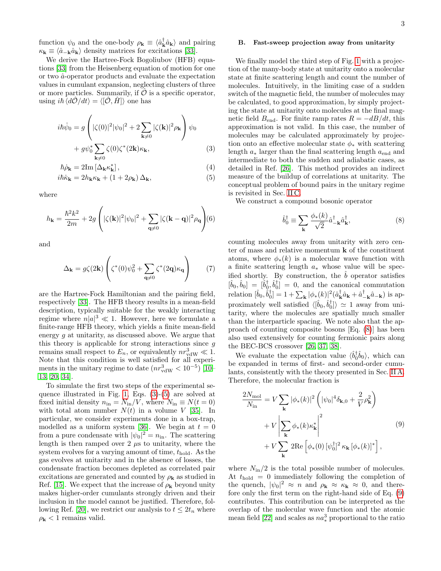function  $\psi_0$  and the one-body  $\rho_{\mathbf{k}} \equiv \langle \hat{a}_{\mathbf{k}}^{\dagger} \hat{a}_{\mathbf{k}} \rangle$  and pairing  $\kappa_{\mathbf{k}} \equiv \langle \hat{a}_{-\mathbf{k}} \hat{a}_{\mathbf{k}} \rangle$  density matrices for excitations [\[33\]](#page-8-27).

We derive the Hartree-Fock Bogoliubov (HFB) equations [\[33\]](#page-8-27) from the Heisenberg equation of motion for one or two  $\hat{a}$ -operator products and evaluate the expectation values in cumulant expansion, neglecting clusters of three or more particles. Summarily, if  $\mathcal O$  is a specific operator, using  $i\hbar \langle d\hat{\mathcal{O}}/dt \rangle = \langle [\hat{\mathcal{O}}, \hat{H}] \rangle$  one has

<span id="page-2-1"></span>
$$
i\hbar\dot{\psi}_0 = g\left(|\zeta(0)|^2|\psi_0|^2 + 2\sum_{\mathbf{k}\neq 0}|\zeta(\mathbf{k})|^2\rho_{\mathbf{k}}\right)\psi_0
$$

$$
+ g\psi_0^* \sum_{\mathbf{k}\neq 0} \zeta(0)\zeta^*(2\mathbf{k})\kappa_{\mathbf{k}},
$$
(3)

$$
\hbar \dot{\rho}_{\mathbf{k}} = 2\mathrm{Im}\left[\Delta_{\mathbf{k}} \kappa_{\mathbf{k}}^*\right],\tag{4}
$$

$$
i\hbar \dot{\kappa}_{\mathbf{k}} = 2h_{\mathbf{k}}\kappa_{\mathbf{k}} + (1 + 2\rho_{\mathbf{k}})\,\Delta_{\mathbf{k}},\tag{5}
$$

where

$$
h_{\mathbf{k}} = \frac{\hbar^2 k^2}{2m} + 2g \left( |\zeta(\mathbf{k})|^2 |\psi_0|^2 + \sum_{\mathbf{q} \neq 0} |\zeta(\mathbf{k} - \mathbf{q})|^2 \rho_{\mathbf{q}} \right) \tag{6}
$$

and

$$
\Delta_{\mathbf{k}} = g\zeta(2\mathbf{k}) \left( \zeta^*(0)\psi_0^2 + \sum_{\mathbf{q}\neq 0} \zeta^*(2\mathbf{q})\kappa_{\mathbf{q}} \right) \tag{7}
$$

are the Hartree-Fock Hamiltonian and the pairing field, respectively [\[33\]](#page-8-27). The HFB theory results in a mean-field description, typically suitable for the weakly interacting regime where  $n|a|^3 \ll 1$ . However, here we formulate a finite-range HFB theory, which yields a finite mean-field energy g at unitarity, as discussed above. We argue that this theory is applicable for strong interactions since  $g$ remains small respect to  $E_n$ , or equivalently  $nr_{\text{vdW}}^3 \ll 1$ . Note that this condition is well satisfied for all experiments in the unitary regime to date  $(nr_{\text{vdW}}^3 < 10^{-5})$  [\[10–](#page-8-8) [13,](#page-8-9) [20,](#page-8-19) [34\]](#page-8-28).

To simulate the first two steps of the experimental sequence illustrated in Fig. [1,](#page-1-0) Eqs. [\(3\)](#page-2-1)-[\(5\)](#page-2-1) are solved at fixed initial density  $n_{\text{in}} = N_{\text{in}}/V$ , where  $N_{\text{in}} \equiv N(t=0)$ with total atom number  $N(t)$  in a volume V [\[35\]](#page-8-29). In particular, we consider experiments done in a box-trap, modelled as a uniform system [\[36\]](#page-8-30). We begin at  $t = 0$ from a pure condensate with  $|\psi_0|^2 = n_{\text{in}}$ . The scattering length is then ramped over 2  $\mu$ s to unitarity, where the system evolves for a varying amount of time,  $t_{hold}$ . As the gas evolves at unitarity and in the absence of losses, the condensate fraction becomes depleted as correlated pair excitations are generated and counted by  $\rho_{\mathbf{k}}$  as studied in Ref. [\[15\]](#page-8-31). We expect that the increase of  $\rho_{\mathbf{k}}$  beyond unity makes higher-order cumulants strongly driven and their inclusion in the model cannot be justified. Therefore, fol-lowing Ref. [\[20\]](#page-8-19), we restrict our analysis to  $t \leq 2t_n$  where  $\rho_{\mathbf{k}}$  < 1 remains valid.

### <span id="page-2-0"></span>B. Fast-sweep projection away from unitarity

We finally model the third step of Fig. [1](#page-1-0) with a projection of the many-body state at unitarity onto a molecular state at finite scattering length and count the number of molecules. Intuitively, in the limiting case of a sudden switch of the magnetic field, the number of molecules may be calculated, to good approximation, by simply projecting the state at unitarity onto molecules at the final magnetic field  $B_{\text{end}}$ . For finite ramp rates  $R = -dB/dt$ , this approximation is not valid. In this case, the number of molecules may be calculated approximately by projection onto an effective molecular state  $\phi_*$  with scattering length  $a_*$  larger than the final scattering length  $a_{end}$  and intermediate to both the sudden and adiabatic cases, as detailed in Ref. [\[26\]](#page-8-23). This method provides an indirect measure of the buildup of correlations at unitarity. The conceptual problem of bound pairs in the unitary regime is revisited in Sec. [II C.](#page-3-0)

We construct a compound bosonic operator

<span id="page-2-2"></span>
$$
\hat{b}_0^{\dagger} \equiv \sum_{\mathbf{k}} \frac{\phi_*(k)}{\sqrt{2}} \hat{a}_{-\mathbf{k}}^{\dagger} \hat{a}_{\mathbf{k}}^{\dagger},\tag{8}
$$

counting molecules away from unitarity with zero center of mass and relative momentum  $\bf{k}$  of the constituent atoms, where  $\phi_*(k)$  is a molecular wave function with a finite scattering length a<sup>∗</sup> whose value will be specified shortly. By construction, the  $b$  operator satisfies  $[\hat{b}_0, \hat{b}_0] = [\hat{b}_0^{\dagger}, \hat{b}_0^{\dagger}] = 0$ , and the canonical commutation relation  $[\hat{b}_0, \hat{b}_0^{\dagger}] = 1 + \sum_{\mathbf{k}} |\phi_*(k)|^2 (\hat{a}_{\mathbf{k}}^{\dagger} \hat{a}_{\mathbf{k}} + \hat{a}_{-\mathbf{k}}^{\dagger} \hat{a}_{-\mathbf{k}})$  is approximately well satisfied  $\langle [\hat{b}_0, \hat{b}_0^{\dagger}] \rangle \simeq 1$  away from unitarity, where the molecules are spatially much smaller than the interparticle spacing. We note also that the approach of counting composite bosons [Eq. [\(8\)](#page-2-2)] has been also used extensively for counting fermionic pairs along the BEC-BCS crossover [\[26,](#page-8-23) [37,](#page-8-32) [38\]](#page-8-33).

We evaluate the expectation value  $\langle \hat{b}_0^{\dagger} \hat{b}_0 \rangle$ , which can be expanded in terms of first- and second-order cumulants, consistently with the theory presented in Sec. [II A.](#page-1-2) Therefore, the molecular fraction is

<span id="page-2-3"></span>
$$
\frac{2N_{\text{mol}}}{N_{\text{in}}} = V \sum_{\mathbf{k}} |\phi_{*}(k)|^{2} \left( |\psi_{0}|^{4} \delta_{\mathbf{k},0} + \frac{2}{V} \rho_{\mathbf{k}}^{2} \right)
$$

$$
+ V \left| \sum_{\mathbf{k}} \phi_{*}(k) \kappa_{\mathbf{k}}^{*} \right|^{2}
$$

$$
+ V \sum_{\mathbf{k}} 2 \text{Re} \left[ \phi_{*}(0) \left[ \psi_{0}^{\dagger} \right]^{2} \kappa_{\mathbf{k}} \left[ \phi_{*}(k) \right]^{*} \right],
$$

$$
(9)
$$

where  $N_{\text{in}}/2$  is the total possible number of molecules. At  $t_{hold} = 0$  immediately following the completion of the quench,  $|\psi_0|^2 \approx n$  and  $\rho_{\mathbf{k}} \approx \kappa_{\mathbf{k}} \approx 0$ , and therefore only the first term on the right-hand side of Eq. [\(9\)](#page-2-3) contributes. This contribution can be interpreted as the overlap of the molecular wave function and the atomic mean field [\[22\]](#page-8-18) and scales as  $na^3$  proportional to the ratio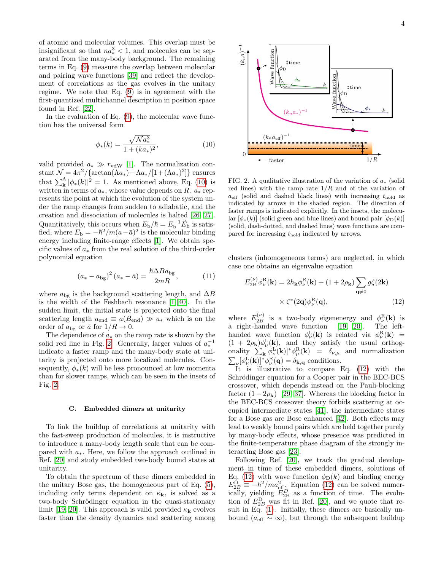of atomic and molecular volumes. This overlap must be insignificant so that  $na^3 \nless 1$ , and molecules can be sep- $\frac{251}{251}$  and  $\frac{251}{251}$  and  $\frac{251}{251}$  for  $\frac{251}{251}$  and motecules can be separated from the many-body background. The remaining terms in Eq.  $(9)$  measure the overlap between molecular and pairing wave functions  $[39]$  and reflect the develop-<br>mean of correlations as the gas evolves in the unitary ment of correlations as the gas evolves in the unitary regime. We note that Eq.  $(9)$  is in agreement with the  $f_{\text{net}}$  so that is not be separation in position we see first-quantized multichannel description in position space found in Ref.  $[22]$ . zontribute interpreted as the interpreted as the interpreted as the interpreted as the interpreted as the interpreted as the interpreted as the interpreted as the interpreted as the interpreted as the interpreted as the in

In the evaluation of Eq.  $(9)$ , the molecular wave function has the universal form

<span id="page-3-1"></span>
$$
\phi_*(k) = \frac{\sqrt{N a_*^3}}{1 + (ka_*)^2},\tag{10}
$$

valid provided  $a_* \gg r_{vdW}$  [\[1\]](#page-8-0). The normalization constant  $\mathcal{N} = 4\pi^2 / \left\{ \arctan(\Lambda a_*) - \Lambda a_*/[1+(\Lambda a_*)^2] \right\}$  ensures that  $\sum_{\mathbf{k}}^{\Lambda} |\phi_{*}(k)|^2 = 1$ . As mentioned above, Eq. [\(10\)](#page-3-1) is written in terms of  $a_*$ , whose value depends on R.  $a_*$  represents the point at which the evolution of the system unresemes the point at which the evolution of the system under the ramp changes from sudden to adiabatic, and the der the ramp changes from sudden to adiabatic, and the creation and dissociation of molecules is halted [\[26,](#page-8-23) [27\]](#page-8-35). Quantitatively, this occurs when  $E_{\rm b}/\hbar = E_{\rm b}^{-1} \dot{E}_{\rm b}$  is satisfied, where  $E_{\rm b} = -\hbar^2/m(a-\bar{a})^2$  is the molecular binding energy including finite-range effects  $[1]$ . We obtain specific values of  $a_*$  from the real solution of the third-order polynomial equation As mentioned above, Eq.  $(10)$  is 269 weight in the dissolution of indication is factor  $\frac{1}{2}$ ,  $\frac{1}{2}$ ,  $\frac{1}{2}$ ,  $\frac{1}{2}$ ,  $\frac{1}{2}$ ,  $\frac{1}{2}$ ,  $\frac{1}{2}$ ,  $\frac{1}{2}$ ,  $\frac{1}{2}$ ,  $\frac{1}{2}$ ,  $\frac{1}{2}$ ,  $\frac{1}{2}$ ,  $\frac{1}{2}$ ,  $\frac{1}{2}$ ,  $\frac{1}{2}$ ,  $\$ Latinually respectively, the point  $\frac{1}{2}$  respectively. 20, where  $E_b = -n/m(a-a)$  is the indicedual binding

<span id="page-3-4"></span>
$$
(a_{*} - a_{\text{bg}})^{2} (a_{*} - \bar{a}) = \frac{\hbar \Delta B a_{\text{bg}}}{2mR}, \quad (11)
$$

where  $a_{bg}$  is the background scattering length, and  $\Delta B$ <br>is the width of the Feshbach resonance [1][40]. In the is the width of the Feshbach resonance [\[1\]](#page-8-0)[\[40\]](#page-8-36). In the sudden limit, the initial state is projected onto the final scattering length  $a_{\text{end}} \equiv a(B_{\text{end}}) \gg a_*$  which is on the order of  $a_{\text{bg}}$  or  $\bar{a}$  for  $1/R \to 0$ .

The dependence of  $a_*$  on the ramp rate is shown by the solid red line in Fig. [2.](#page-3-2) Generally, larger values of  $a_*^{-1}$ indicate a faster ramp and the many-body state at unitarity is projected onto more localized molecules. Consequently,  $\phi_*(k)$  will be less pronounced at low momenta  $\frac{1}{2}$  than for slower ramps, which can be seen in the insets of Fig. [2.](#page-3-2)  $\log 2.$  $\overline{a}$ 

#### <span id="page-3-0"></span>C. Embedded dimers at unitarity

To link the buildup of correlations at unitarity with the fast-sweep production of molecules, it is instructive to introduce a many-body length scale that can be compared with  $a_*$ . Here, we follow the approach outlined in Ref.  $[20]$  and study embedded two-body bound states at unitarity. <sup>296</sup> Ref. [20] and study embedded two-body bound states at

To obtain the spectrum of these dimers embedded in the unitary Bose gas, the homogeneous part of Eq.  $(5)$ , including only terms dependent on  $\kappa_{\mathbf{k}}$ , is solved as a two-body Schrödinger equation in the quasi-stationary limit [\[19,](#page-8-16) [20\]](#page-8-19). This approach is valid provided  $\kappa_{\mathbf{k}}$  evolves faster than the density dynamics and scattering among



<span id="page-3-2"></span>FIG. 2. A qualitative illustration of the variation of  $a_*$  (solid red. 2. A quantum interaction of the variation of  $u_*$  (so red lines) with the ramp rate  $1/R$  and of the variation of  $a_{\text{eff}}$  (solid and dashed black lines) with increasing  $t_{\text{hold}}$  as indicated by arrows in the shaded region. The direction of  $faster$  ramps is indicated explicitly. In the insets, the molecular  $[\phi_*(k)]$  (solid green and blue lines) and bound pair  $[\phi_D(k)]$ (solid, dash-dotted, and dashed lines) wave functions are compared for increasing thold indicated by arrows.

clusters (inhomogeneous terms) are neglected, in which case one obtains an eigenvalue equation  $\frac{3}{2}$  faster than the density dynamics and scattering among the density dynamics and scattering among the density dynamics and scattering among the density of  $\frac{3}{2}$ 

<span id="page-3-3"></span>
$$
E_{2B}^{(\nu)} \phi_{\nu}^{R}(\mathbf{k}) = 2h_{\mathbf{k}} \phi_{\nu}^{R}(\mathbf{k}) + (1 + 2\rho_{\mathbf{k}}) \sum_{\mathbf{q} \neq 0} g\zeta(2\mathbf{k})
$$

$$
\times \zeta^{*}(2\mathbf{q}) \phi_{\nu}^{R}(\mathbf{q}), \qquad (12)
$$

where  $E_{2B}^{(\nu)}$  is a two-body eigenenergy and  $\phi_{\nu}^{R}(\mathbf{k})$  is a right-handed wave function  $[19, 20]$  $[19, 20]$ . The lefthanded wave function  $\phi_{\nu}^{\rm L}({\bf k})$  is related via  $\phi_{\nu}^{\rm R}({\bf k})$  =  $(1 + 2\rho_k)\phi_\nu^L(\mathbf{k}),$  and they satisfy the usual orthogonality  $\sum_{\mathbf{k}} [\phi_{\nu}^{\mathrm{L}}(\mathbf{k})]^* \phi_{\mu}^{\mathrm{R}}(\mathbf{k}) = \delta_{\nu,\mu}$  and normalization  $\sum_{\nu} [\phi_{\nu}^{\rm L}({\bf k})]^* \phi_{\nu}^{\rm R}({\bf q}) = \delta_{{\bf k},{\bf q}}$  conditions.

 $\mathcal{L}_{\nu}[\psi_{\nu}(\mathbf{A})] \ \psi_{\nu}(\mathbf{q}) = \delta_{\mathbf{k},\mathbf{q}}$  conditions.<br>It is illustrative to compare Eq. [\(12\)](#page-3-3) with the  $\frac{1}{2}$  Schrödinger equation for a Cooper pair in the BEC-BCS crossover, which depends instead on the Pauli-blocking factor  $(1 - 2\rho_k)$  [\[29,](#page-8-22) [37\]](#page-8-32). Whereas the blocking factor in the BEC-BCS crossover theory forbids scattering at oc- $\frac{315}{200}$  for 2003 crossover theory forbias scattering at  $\sigma$  cupied intermediate states [\[41\]](#page-8-37), the intermediate states  $\frac{1}{2}$  to the Equation of the Bec-BCs contract scattering scattering scattering scattering scattering scattering scattering scattering scattering scattering scattering scattering scattering scattering scattering scatte for a Bose gas are Bose enhanced  $[42]$ . Both effects may lead to weakly bound pairs which are held together purely by many-body effects, whose presence was predicted in the finite-temperature phase diagram of the strongly in- $\alpha$  teracting Bose gas [\[23\]](#page-8-20).

Following Ref. [\[20\]](#page-8-19), we track the gradual development in time of these embedded dimers, solutions of Eq. [\(12\)](#page-3-3) with wave function  $\phi_D(k)$  and binding energy  $E_{2P}^{\text{D}} \equiv -\hbar^2/ma_{\text{eff}}^2$ . Equation (12) can be solved numer ically, yielding  $E_{2R}^D$  as a function of time. The evol  $E_{2B}^{\text{D}} \equiv -\hbar^2/ma_{\text{eff}}^2$ . Equation [\(12\)](#page-3-3) can be solved numerically, yielding  $E_{2B}^D$  as a function of time. The evolution of  $E_{2B}^D$  was fit in Ref. [\[20\]](#page-8-19), and we quote that result in Eq. [\(1\)](#page-0-1). Initially, these dimers are basically unbound ( $a_{\text{eff}} \sim \infty$ ), but through the subsequent buildup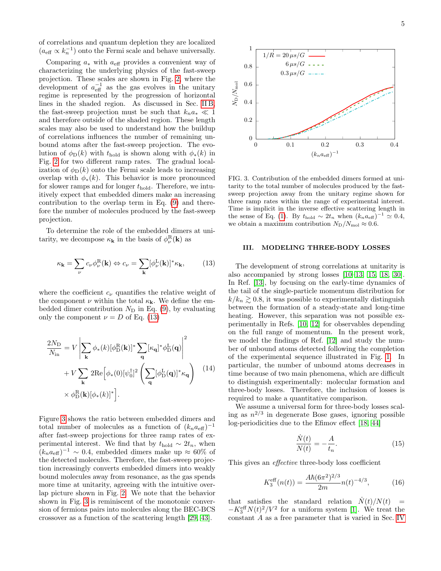of correlations and quantum depletion they are localized  $(a_{\text{eff}} \propto k_n^{-1})$  onto the Fermi scale and behave universally.

Comparing  $a_*$  with  $a_{\text{eff}}$  provides a convenient way of characterizing the underlying physics of the fast-sweep projection. These scales are shown in Fig. [2,](#page-3-2) where the development of  $a_{\text{eff}}^{-1}$  as the gas evolves in the unitary 1333 Comparing a comparison of the progression of horizontal regime is represented by the progression of horizontal lines in the shaded region. As discussed in Sec. IIB, the fast-sweep projection must be such that  $k_n a_* \ll 1$ and therefore outside of the shaded region. These length scales may also be used to understand how the buildup of correlations influences the number of remaining unor correlations influences the number of remaining un-<br>339 bound atoms after the fast-sweep projection. The evolution of  $\phi_D(k)$  with  $t_{hold}$  is shown along with  $\phi_*(k)$  in Fig. [2](#page-3-2) for two different ramp rates. The gradual localization of  $\phi_{\text{D}}(k)$  onto the Fermi scale leads to increasing overlap with  $\phi_*(k)$ . This behavior is more pronounced for slower ramps and for longer  $t_{hold}$ . Therefore, we intuitively expect that embedded dimers make an increasing contribution to the overlap term in Eq.  $(9)$  and therefore the number of molecules produced by the fast-sweep projection. −1  $\frac{3}{1}$  region. These rengine  $\frac{3}{4}$  bound atoms after the fast-sweep projection. The evo-

To determine the role of the embedded dimers at unitarity, we decompose  $\kappa_{\mathbf{k}}$  in the basis of  $\phi_{\nu}^{\text{R}}(\mathbf{k})$  as  $\frac{1}{3}$  for determine the role of the embedded dimers at uni-

<span id="page-4-1"></span>
$$
\kappa_{\mathbf{k}} = \sum_{\nu} c_{\nu} \phi_{\nu}^{\mathrm{R}}(\mathbf{k}) \Leftrightarrow c_{\nu} = \sum_{\mathbf{k}} [\phi_{\nu}^{\mathrm{L}}(\mathbf{k})]^* \kappa_{\mathbf{k}},\tag{13}
$$

where the coefficient  $c_{\nu}$  quantifies the relative weight of where the coefficient  $\epsilon_{\nu}$  quantifies the relative weight of the component  $\nu$  within the total  $\kappa_{\mathbf{k}}$ . We define the embedded dimer contribution  $N_{\text{D}}$  in Eq. [\(9\)](#page-2-3), by evaluating only the component  $\nu = D$  of Eq. [\(13\)](#page-4-1)  $\frac{35}{100}$  the component *ν* within the total  $\kappa_k$ . We define the em-

$$
\frac{2N_{\rm D}}{N_{\rm in}} = V \left| \sum_{\mathbf{k}} \phi_{*}(k) [\phi_{\rm D}^{\rm R}(\mathbf{k})]^{*} \sum_{\mathbf{q}} [\kappa_{\mathbf{q}}]^{*} \phi_{\rm D}^{\rm L}(\mathbf{q}) \right|^{2} \n+ V \sum_{\mathbf{k}} 2 \text{Re} [\phi_{*}(0) [\psi_{0}^{\dagger}]^{2} \left( \sum_{\mathbf{q}} [\phi_{\rm D}^{\rm L}(\mathbf{q})]^{*} \kappa_{\mathbf{q}} \right) \quad (14) \n\times \phi_{\rm D}^{\rm R}(\mathbf{k}) [\phi_{*}(k)]^{*} \right].
$$

Figure [3](#page-4-2) shows the ratio between embedded dimers and total number of molecules as a function of  $(k_n a_{\text{eff}})^{-1}$ after fast-sweep projections for three ramp rates of experimental interest. We find that by  $t_{\text{hold}} \sim 2t_n$ , when  $(k_n a_{\text{eff}})^{-1} \sim 0.4$ , embedded dimers make up  $\approx 60\%$  of the detected molecules. Therefore, the fast-sweep projection increasingly converts embedded dimers into weakly bound molecules away from resonance, as the gas spends more time at unitarity, agreeing with the intuitive over-and the molecules are shown in Fig. [2.](#page-3-2) We note that the behavior shown in Fig. [3](#page-4-2) is reminiscent of the monotonic conversion of fermions pairs into molecules along the BEC-BCS crossover as a function of the scattering length [\[29,](#page-8-22) [43\]](#page-8-39).



<span id="page-4-2"></span> $F(\alpha, \alpha, \alpha, \alpha, \alpha, \alpha, \alpha)$  at unit-dimers formed at uni-FIG. 3. Contribution of the embedded dimers formed at unitarity to the total number of molecules produced by the fastsweep projection away from the unitary regime shown for three ramp rates within the range of experimental interest. Time is implicit in the inverse effective scattering length in the sense of Eq. [\(1\)](#page-0-1). By  $t_{\text{hold}} \sim 2t_n$  when  $(k_n a_{\text{eff}})^{-1} \simeq 0.4$ , we obtain a maximum contribution  $N_{\rm D}/N_{\rm mol} \approx 0.6$ .

# <span id="page-4-0"></span>III. MODELING THREE-BODY LOSSES

The development of strong correlations at unitarity is also accompanied by strong losses  $[10-13, 15, 18, 30]$  $[10-13, 15, 18, 30]$  $[10-13, 15, 18, 30]$  $[10-13, 15, 18, 30]$  $[10-13, 15, 18, 30]$ . In Ref. [\[13\]](#page-8-9), by focusing on the early-time dynamics of the tail of the single-particle momentum distribution for  $k/k_n \gtrsim 0.8$ , it was possible to experimentally distinguish  $\frac{1}{2}$  here the separation of a steady-state and long-time between the formation of a steady state and long time<br>heating. However, this separation was not possible ex-netaing. However, and separation was not possible ex-<br>perimentally in Refs. [\[10,](#page-8-8) [12\]](#page-8-12) for observables depending permicinary in recis. [10, 12] for observables depending<br>on the full range of momentum. In the present work,  $\frac{344}{144}$  c is contributed for  $\frac{344}{144}$  c is completed for completion  $\frac{344}{144}$  completion  $\frac{344}{144}$  completion  $\frac{344}{144}$  completion  $\frac{344}{144}$  completion  $\frac{344}{144}$  completion  $\frac{344}{144}$  com we model the findings of Ref.  $[12]$  and study the number of unbound atoms detected following the completion of the experimental sequence illustrated in Fig. [1.](#page-1-0) In particular, the number of unbound atoms decreases in time because of two main phenomena, which are difficult to distinguish experimentally: molecular formation and three-body losses. Therefore, the inclusion of losses is required to make a quantitative comparison.

We assume a universal form for three-body losses scal- $\frac{1}{10}$  th  $\log$  -periodicities due to the Efimov effect  $[18,\,44]$ ing as  $n^{2/3}$  in degenerate Bose gases, ignoring possible

$$
\frac{\dot{N}(t)}{N(t)} = -\frac{A}{t_n}.\tag{15}
$$

This gives an  $\it effective$  three-body loss coefficient

<span id="page-4-3"></span>N(t)

$$
K_3^{\text{eff}}(n(t)) = \frac{A\hbar (6\pi^2)^{2/3}}{2m} n(t)^{-4/3},\tag{16}
$$

that satisfies the standard relation  $\dot{N}(t)/N(t)$  =  $-K_3^{\text{eff}} N(t)^2/V^2$  for a uniform system [\[1\]](#page-8-0). We treat the constant A as a free parameter that is varied in Sec. [IV](#page-5-0)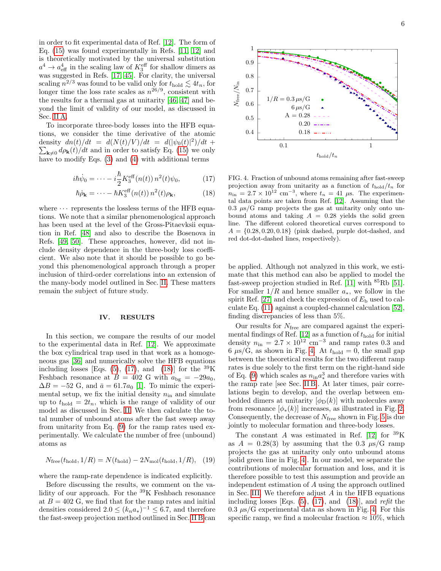in order to fit experimental data of Ref.  $[12]$ . The form of Eq.  $(15)$  was found experimentally in Refs.  $[11, 12]$  $[11, 12]$  and is theoretically motivated by the universal substitution  $a^4 \rightarrow a_{\text{eff}}^4$  in the scaling law of  $K_3^{\text{eff}}$  for shallow dimers as was suggested in Refs. [\[17,](#page-8-14) [45\]](#page-8-41). For clarity, the universal scaling  $n^{2/3}$  was found to be valid only for  $t_{\text{hold}} \lesssim 4t_n$ , for longer time the loss rate scales as  $n^{26/9}$ , consistent with the results for a thermal gas at unitarity  $[46, 47]$  $[46, 47]$  and beyond the limit of validity of our model, as discussed in S[ec. II](#page-1-2) A.  $a^4 \rightarrow a_{\text{eff}}^4$  in the scaling law of  $K_3^{\text{en}}$  for shallow dimers as was suggested in Refs.  $[17, 45]$ . For clarity, the universal

To incorporate three-body losses into the HFB equations, we consider the time derivative of the atomic density  $dn(t)/dt = d(N(t)/V)/dt = d(|\psi_0(t)|^2)/dt +$  $\sum_{\mathbf{k}\neq 0} d\rho_{\mathbf{k}}(t)/dt$  and in order to satisfy Eq. [\(15\)](#page-4-3) we only have to modify Eqs.  $(3)$  and  $(4)$  with additional terms

<span id="page-5-1"></span>
$$
i\hbar\dot{\psi}_0 = \dots - i\frac{\hbar}{2} K_3^{\text{eff}}(n(t)) n^2(t)\psi_0, \tag{17}
$$

$$
\hbar \dot{\rho}_{\mathbf{k}} = \cdots - \hbar K_3^{\text{eff}}(n(t)) n^2(t) \rho_{\mathbf{k}}, \qquad (18)
$$

where  $\cdots$  represents the lossless terms of the HFB equations. We note that a similar phenomenological approach <sup>410</sup> tions. We note that a similar phenomenological approach has been used at the level of the Gross-Pitaevksii equa-<sup>411</sup> has been used at the level of the Gross-Pitaevksii equation in Ref.  $[48]$  and also to describe the Bosenova in Refs.  $[49, 50]$  $[49, 50]$ . These approaches, however, did not include density dependence in the three-body loss coefficient. We also note that it should be possible to go beyond this phenomenological approach through a proper inclusion of third-order correlations into an extension of the many-body model outlined in Sec. [II.](#page-1-1) These matters remain the subject of future study.  $\frac{1}{2}$  times been used at the level of the Gross-Frideriksh equa-

# <span id="page-5-0"></span>IV. RESULTS

In this section, we compare the results of our model to the experimental data in Ref.  $[12]$ . We approximate the box cylindrical trap used in that work as a homoge-neous gas [\[36\]](#page-8-30) and numerically solve the HFB equations including losses [Eqs. [\(5\)](#page-2-1),  $(17)$ , and  $(18)$ ] for the <sup>39</sup>K Feshbach resonance at  $B = 402$  G with  $a_{bg} = -29a_0$ ,  $\Delta B = -52$  G, and  $\bar{a} = 61.7a_0$  [\[1\]](#page-8-0). To mimic the experimental setup, we fix the initial density  $n_{\text{in}}$  and simulate up to  $t_{hold} = 2t_n$ , which is the range of validity of our model as discussed in Sec. [II.](#page-1-1) We then calculate the tomoder as used ssed in Sec. 11. We then eaculate the to-<br>tal number of unbound atoms after the fast sweep away tal number of unbound atoms after the last sweep away<br>from unitarity from Eq. [\(9\)](#page-2-3) for the ramp rates used experimentally. We calculate the number of free (unbound) atoms as  $\frac{1}{4}$  and  $\frac{1}{4}$  and  $\frac{1}{4}$  and  $\frac{1}{4}$  and  $\frac{1}{4}$  and  $\frac{1}{4}$  and  $\frac{1}{4}$  and  $\frac{1}{4}$  and  $\frac{1}{4}$  and  $\frac{1}{4}$  and  $\frac{1}{4}$  and  $\frac{1}{4}$  and  $\frac{1}{4}$  and  $\frac{1}{4}$  and  $\frac{1}{4}$  and  $\frac{1}{4}$  a  $\text{MS}$  as  $\text{MS}$ 

$$
N_{\text{free}}(t_{\text{hold}}, 1/R) = N(t_{\text{hold}}) - 2N_{\text{mol}}(t_{\text{hold}}, 1/R), (19)
$$

where the ramp-rate dependence is indicated explicitly. where the ramp-rate dependence is indicated explicitly.

Before discussing the results, we comment on the validity of our approach. For the <sup>39</sup>K Feshbach resonance at  $B = 402$  G, we find that for the ramp rates and initial densities considered  $2.0 \leq (k_n a_*)^{-1} \leq 6.7$ , and therefore the fast-sweep projection method outlined in Sec. [II B](#page-2-0) can



<span id="page-5-2"></span>FIG. 4. Fraction of unbound atoms remaining after fast-sweep FIG. 4. Fraction of unbound atoms remaining after fast-sweep projection away from unitarity as a function of  $t_{hold}/t_n$  for projection away from unitarity as a function of  $t_{\text{hold}}/t_n$  for  $n_{\text{in}} = 2.7 \times 10^{12} \text{ cm}^{-3}$ , where  $t_n = 41 \mu\text{s}$ . The experimen-tal data points are taken from Ref. [\[12\]](#page-8-12). Assuming that the  $\mu$ , 0.3  $\mu$ s/G ramp projects the gas at unitarity only onto unbound atoms and taking  $A = 0.28$  yields the solid green line. The different colored theoretical curves correspond to  $A = \{0.28, 0.20, 0.18\}$  (pink dashed, purple databased, and  $A = \{0.28, 0.20, 0.18\}$  (pink dashed, purple dot-dashed, and red dot-dot-dashed lines, respectively).

be applied. Although not analyzed in this work, we estimate that this method can also be applied to model the  $\frac{45}{11}$  fast-sweep projection studied in Ref. [\[11\]](#page-8-13) with  $^{85}$ Rb [\[51\]](#page-8-47). For smaller  $1/R$  and hence smaller  $a_*$ , we follow in the spirit Ref. [27] and check the expression of  $E<sub>b</sub>$  used to calculate Eq.  $(11)$  against a coupled-channel calculation [\[52\]](#page-9-0), finding discrepancies of less than  $5\%$ .

Our results for  $N_{\text{free}}$  are compared against the experimental findings of Ref. [12] as a function of  $t_{hold}$  for initi density  $n_{\rm in} = 2.7 \times 10^{12}$  cm<sup>-3</sup> and ramp rates 0.3 are 6  $\mu$ s/G, as shown in Fig. [4.](#page-5-2) At  $t_{hold} = 0$ , the small gap between the theoretical results for the two different ramp from the interferent results for the two units rating rates is due solely to the first term on the right-hand side of Eq. [\(9\)](#page-2-3) which scales as  $n_{\text{in}}a_*^3$  and therefore varies with the ramp rate [see Sec. [II B\]](#page-2-0). At later times, pair corre- $\frac{1}{2}$  lations begin to develop, and the overlap between em- $\frac{1}{2}$  bedded dimers at unitarity  $\left[\phi_{\text{D}}(k)\right]$  with molecules away bedded unners at dimentity  $[φ<sub>D</sub>(w)]$  with molecules away from resonance  $[φ<sub>*</sub>(k)]$  increases, as illustrated in Fig. [2.](#page-3-2)  $\begin{bmatrix} 6 & 6 \end{bmatrix}$  is due to molecular formation and  $\begin{bmatrix} 6 & 1 \end{bmatrix}$  is due to model in Fig. Consequently, the decrease of  $N_{\text{free}}$  shown in Fig. [5](#page-6-0) is due Jointy to more that formation and time body losses. mental findings of Ref. [\[12\]](#page-8-12) as a function of  $t_{\text{hold}}$  for initial density  $n_{\text{in}} = 2.7 \times 10^{12} \text{ cm}^{-3}$  and ramp rates 0.3 and jointly to molecular formation and three-body losses.

The constant A was estimated in Ref. [\[12\]](#page-8-12) for  $^{39}$ K as  $A = 0.28(3)$  by assuming that the 0.3  $\mu s/G$  ramp projects the gas at unitarity only onto unbound atoms [solid green line in Fig. [4\]](#page-5-2). In our model, we separate the contributions of molecular formation and loss, and it is therefore possible to test this assumption and provide an independent estimation of  $A$  using the approach outlined in Sec. [III.](#page-4-0) We therefore adjust  $A$  in the HFB equations including losses [Eqs.  $(5)$ ,  $(17)$ , and  $(18)$ ], and refit the  $0.3 \mu s/G$  experimental data as shown in Fig. [4.](#page-5-2) For this specific ramp, we find a molecular fraction  $\approx 10\%$ , which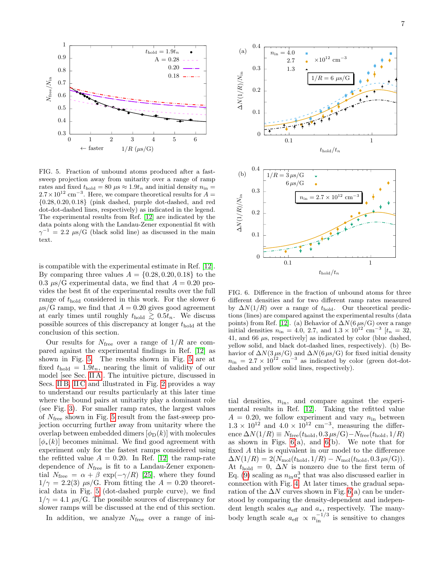

<span id="page-6-0"></span>FIG. 5. Fraction of unbound atoms produced after a fastsweep projection away from unitarity over a range of ramp weep projection away from unitality over a range of ranger and  $f_{\text{mod}} t_{\text{max}} = 80$  us  $\approx 1.0t_{\text{max}}$  and initial density  $r_{\text{max}}$ Exercise and fixed  $t_{\text{hold}} = 80 \mu s \approx 1.9 t_n$  and initial density  $n_{\text{ind}} = 2.7 \times 10^{12} \text{ s}^{-3}$ . Here rates and fixed  $t_{\text{hold}} = 80 \mu s \approx 1.9t_n$  and initial density  $n_{\text{in}} = 2.7 \times 10^{12} \text{ cm}^{-3}$ . Here, we compare theoretical results for  $A =$  $\{0.28, 0.20, 0.18\}$  (pink dashed, purple dot-dashed, and red dot-dot-dashed lines, respectively) as indicated in the legend. The experimental results from Ref. [\[12\]](#page-8-12) are indicated by the data points along with the Landau-Zener exponential fit with data points along with the Landau-Zener exponential it with<br>  $\gamma^{-1} = 2.2 \ \mu s/G$  (black solid line) as discussed in the main text.  $0^{12}$  cm<sup>-3</sup>. Here, we compare theoretical results for  $A = 0.20, 0.18$ , (pink dashed, purple dot-dashed, and red  $-4.4$ 

is compatible with the experimental estimate in Ref.  $[12]$ . By comparing three values  $A = \{0.28, 0.20, 0.18\}$  to the 0.3  $\mu$ s/G experimental data, we find that  $A = 0.20$  provides the best fit of the experimental results over the full range of  $t_{\text{hold}}$  considered in this work. For the slower 6  $\mu$ s/G ramp, we find that  $A = 0.20$  gives good agreement at early times until roughly  $t_{hold} \geq 0.5t_n$ . We discuss possible sources of this discrepancy at longer  $t_{\text{hold}}$  at the conclusion of this section. <sup>472</sup> specific ramp, we find a molecular fraction ∼ 10%, which  $\frac{1}{2}$  cally three units found to  $\frac{1}{2}$  b.  $\frac{1}{2}$  b.  $\frac{1}{2}$  b.  $\frac{1}{2}$  called a though the state of the

Our results for  $N_{\text{free}}$  over a range of  $1/R$  are compared against the experimental findings in Ref.  $[12]$  as shown in Fig. [5.](#page-6-0) The results shown in Fig. [5](#page-6-0) are at fixed  $t_{\text{hold}} = 1.9t_n$ , nearing the limit of validity of our  $\frac{1}{2}$  in  $\frac{1}{2}$  in  $\frac{1}{2}$  in Second in Fig. 2 provides a second in Fig. 2 provides a second in Fig. 2 provides a second in Fig. 2 provides a second in Fig. 2 provides a second in Fig. 2 provides a second in Fig. model [see Sec. [II A\]](#page-1-2). The intuitive picture, discussed in  $\text{model}$  [see Sec. II A]. The intuitive picture, discussed in Secs. IIB, IIC and illustrated in Fig. [2](#page-3-2) provides a way to understand our results particularly at this later time where the bound pairs at unitarity play a dominant role (see Fig. [3\)](#page-4-2). For smaller ramp rates, the largest values of N<sub>free</sub> shown in Fig. [5](#page-6-0) result from the fast-sweep projection occurring further away from unitarity where the<br>symbol between embedded dimens  $\begin{bmatrix} 4 & (b) \end{bmatrix}$  with melasular overlap between embedded dimers  $[\phi_D(k)]$  with molecules  $[\phi_*(k)]$  becomes minimal. We find good agreement with experiment only for the fastest ramps considered using the refitted value  $A = 0.20$ . In Ref. [\[12\]](#page-8-12) the ramp-rate dependence of  $N_{\text{free}}$  is fit to a Landau-Zener exponential  $N_{\text{free}} = \alpha + \beta \exp(-\gamma/R)$  [\[25\]](#page-8-48), where they found  $1/\gamma = 2.2(3) \mu s/G$ . From fitting the  $A = 0.20$  theoret- $\frac{1}{7}$  = 2.2(b)  $\mu$ s/c. From houng the  $\Lambda$  = 0.20 theorem<br>ical data in Fig. [5](#page-6-0) (dot-dashed purple curve), we find  $1/\gamma = 4.1 \mu s/G$ . The possible sources of discrepancy for slower ramps will be discussed at the end of this section. odel [see Sec. II A]. The intuitive picture, discussed in  $\frac{1}{4}$  if  $\frac{1}{4}$  is the overlap between embedded dimersion embedded dimersional contract of  $\frac{1}{4}$ 

In addition, we analyze  $N_{\text{free}}$  over a range of ini-



<span id="page-6-1"></span>FIG. 6. Difference in the fraction of unbound atoms for different densities and for two different ramp rates measured by  $\Delta N(1/R)$  over a range of  $t_{\text{hold}}$ . Our theoretical predic- $\frac{1}{2}$  (1,1,1,1,6) over a range of  $v_{\text{non}}$ . Our encorected predictions (lines) are compared against the experimental results (data points) from Ref. [\[12\]](#page-8-12). (a) Behavior of  $\Delta N(6 \mu_s/G)$  over a range points) from Ref. [12]. (a) Behavior of  $\Delta N$  (b $\mu$ s/G) over a randities  $n_{\text{in}} = 4.0, 2.7, \text{ and } 1.3 \times 10^{12} \text{ cm}^{-3}$  [ $t_n = 3$ ] 41, and 66  $\mu$ s, respectively] as indicated by color (blue dashed, yellow solid, and black dot-dashed lines, respectively). (b) Behavior of  $\Delta N(3 \mu s/G)$  and  $\Delta N(6 \mu s/G)$  for fixed initial density  $n_{\rm in} = 2.7 \times 10^{12} \text{ cm}^{-3}$  as indicated by color (green dot-dot-FIG. 6. Difference in the fraction of unbound atoms for three initial densities  $n_{\text{in}} = 4.0, 2.7, \text{ and } 1.3 \times 10^{12} \text{ cm}^{-3}$  [ $t_n = 32,$ ] dashed and yellow solid lines, respectively).

<sup>504</sup> In addition, we analyze Nfree over a range of initial densities,  $n_{\text{in}}$ , and compare against the experi- $\frac{1}{2}$  tial densities,  $n_{\text{in}}$ , and compare against the experi- $507 - A = 0.20$ , we follow experiment and vary  $n_{\text{in}}$  between  $A = 0.20$ , we follow experiment and vary  $n_{\text{in}}$  between<br>the  $1.3 \times 10^{12}$  and  $4.0 \times 10^{12}$  cm<sup>-3</sup>, measuring the difference les ence  $\Delta N(1/R) \equiv N_{\text{free}}(t_{\text{hold}}, 0.3 \,\mu\text{s/G}) - N_{\text{free}}(t_{\text{hold}}, 1/R)$ ith as shown in Figs.  $6(a)$ , and  $6(b)$ . We note that for ng fixed A this is equivalent in our model to the difference tte  $\Delta N(1/R) = 2(N_{\text{mol}}(t_{\text{hold}}, 1/R) - N_{\text{mol}}(t_{\text{hold}}, 0.3 \,\mu s/G)).$  $\Delta t$   $t_{hold} = 0$ ,  $\Delta N$  is nonzero due to the first term of  $Eq. (9) scaling as  $n_{in}a_*^3$  that was also discussed earlier in$  $Eq. (9) scaling as  $n_{in}a_*^3$  that was also discussed earlier in$  $Eq. (9) scaling as  $n_{in}a_*^3$  that was also discussed earlier in$  $\mathbf{E}$  Fig. (*J*) beams as  $n_{\text{in}}$   $\mathbf{u}_*$  and was also discussed earlier  $\frac{1}{2}$  compared by comparison by comparison by comparison by comparison of the  $\Delta N$  curves shown in Fig. [6\(](#page-6-1)a) can be under- $\frac{1}{21}$ , (b) counting all  $\frac{N_{\text{H}}}{\text{R}}$  at later times, the gradual separation with Fig. [4.](#page-5-2) At later times, the gradual separation mental results in Ref.  $[12]$ . Taking the refitted value  $1.3 \times 10^{12}$  and  $4.0 \times 10^{12}$  cm<sup>-3</sup>, measuring the differ-<br><sub>1.2</sub>  $\frac{(1.10)(1.0)}{(1.10)(1.0)}$  cm<sup>-3</sup> stood by comparing the density-dependent and independent length scales  $a_{\text{eff}}$  and  $a_{*,}$  respectively. The manybody length scale  $a_{\text{eff}} \propto n_{\text{in}}^{-1/3}$  is sensitive to changes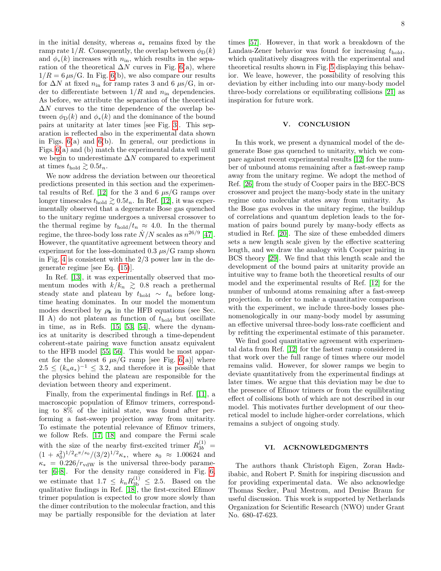in the initial density, whereas  $a_*$  remains fixed by the ramp rate  $1/R$ . Consequently, the overlap between  $\phi_D(k)$ and  $\phi_*(k)$  increases with  $n_{\rm in}$ , which results in the separation of the theoretical  $\Delta N$  curves in Fig. [6\(](#page-6-1)a), where  $1/R = 6 \,\mu s/G$ . In Fig. [6\(](#page-6-1)b), we also compare our results for  $\Delta N$  at fixed  $n_{\text{in}}$  for ramp rates 3 and 6  $\mu$ s/G, in order to differentiate between  $1/R$  and  $n_{\text{in}}$  dependencies. As before, we attribute the separation of the theoretical  $\Delta N$  curves to the time dependence of the overlap between  $\phi_{\text{D}}(k)$  and  $\phi_*(k)$  and the dominance of the bound pairs at unitarity at later times [see Fig. [3\]](#page-4-2). This separation is reflected also in the experimental data shown in Figs. [6\(](#page-6-1)a) and [6\(](#page-6-1)b). In general, our predictions in Figs. [6\(](#page-6-1)a) and (b) match the experimental data well until we begin to underestimate  $\Delta N$  compared to experiment at times  $t_{\text{hold}} \gtrsim 0.5t_n$ .

We now address the deviation between our theoretical predictions presented in this section and the experimen-tal results of Ref. [\[12\]](#page-8-12) for the 3 and 6  $\mu s/G$  ramps over longer timescales  $t_{hold} \geq 0.5t_n$ . In Ref. [\[12\]](#page-8-12), it was experimentally observed that a degenerate Bose gas quenched to the unitary regime undergoes a universal crossover to the thermal regime by  $t_{\text{hold}}/t_n \approx 4.0$ . In the thermal regime, the three-body loss rate  $\dot{N}/N$  scales as  $n^{26/9}$  [\[47\]](#page-8-43). However, the quantitative agreement between theory and experiment for the loss-dominated  $0.3 \mu s/G$  ramp shown in Fig. [4](#page-5-2) is consistent with the  $2/3$  power law in the degenerate regime [see Eq. [\(15\)](#page-4-3)].

In Ref. [\[13\]](#page-8-9), it was experimentally observed that momentum modes with  $k/k_n \geq 0.8$  reach a prethermal steady state and plateau by  $t_{hold} \sim t_n$  before longtime heating dominates. In our model the momentum modes described by  $\rho_{\mathbf{k}}$  in the HFB equations (see Sec. II A) do not plateau as function of  $t_{hold}$  but oscillate in time, as in Refs. [\[15,](#page-8-31) [53,](#page-9-1) [54\]](#page-9-2), where the dynamics at unitarity is described through a time-dependent coherent-state pairing wave function ansatz equivalent to the HFB model [\[55,](#page-9-3) [56\]](#page-9-4). This would be most apparent for the slowest 6  $\mu s/G$  ramp [see Fig. [6\(](#page-6-1)a)] where  $2.5 \leq (k_n a_*)^{-1} \leq 3.2$ , and therefore it is possible that the physics behind the plateau are responsible for the deviation between theory and experiment.

Finally, from the experimental findings in Ref. [\[11\]](#page-8-13), a macroscopic population of Efimov trimers, corresponding to 8% of the initial state, was found after performing a fast-sweep projection away from unitarity. To estimate the potential relevance of Efimov trimers, we follow Refs. [\[17,](#page-8-14) [18\]](#page-8-15) and compare the Fermi scale with the size of the nearby first-excited trimer  $R_{3b}^{(1)} =$  $(1 + s_0^2)^{1/2}e^{\pi/s_0}/(3/2)^{1/2}\kappa_*$ , where  $s_0 \approx 1.00624$  and  $\kappa_* = 0.226/r_{\text{vdW}}$  is the universal three-body parameter [\[6–](#page-8-5)[8\]](#page-8-49). For the density range considered in Fig. [6,](#page-6-1) we estimate that  $1.7 \leq k_n R_{3b}^{(1)} \leq 2.5$ . Based on the qualitative findings in Ref. [\[18\]](#page-8-15), the first-excited Efimov trimer population is expected to grow more slowly than the dimer contribution to the molecular fraction, and this may be partially responsible for the deviation at later

times [\[57\]](#page-9-5). However, in that work a breakdown of the Landau-Zener behavior was found for increasing  $t_{hold}$ , which qualitatively disagrees with the experimental and theoretical results shown in Fig. [5](#page-6-0) displaying this behavior. We leave, however, the possibility of resolving this deviation by either including into our many-body model three-body correlations or equilibrating collisions [\[21\]](#page-8-17) as inspiration for future work.

### <span id="page-7-0"></span>V. CONCLUSION

In this work, we present a dynamical model of the degenerate Bose gas quenched to unitarity, which we compare against recent experimental results [\[12\]](#page-8-12) for the number of unbound atoms remaining after a fast-sweep ramp away from the unitary regime. We adopt the method of Ref. [\[26\]](#page-8-23) from the study of Cooper pairs in the BEC-BCS crossover and project the many-body state in the unitary regime onto molecular states away from unitarity. As the Bose gas evolves in the unitary regime, the buildup of correlations and quantum depletion leads to the formation of pairs bound purely by many-body effects as studied in Ref. [\[20\]](#page-8-19). The size of these embedded dimers sets a new length scale given by the effective scattering length, and we draw the analogy with Cooper pairing in BCS theory [\[29\]](#page-8-22). We find that this length scale and the development of the bound pairs at unitarity provide an intuitive way to frame both the theoretical results of our model and the experimental results of Ref. [\[12\]](#page-8-12) for the number of unbound atoms remaining after a fast-sweep projection. In order to make a quantitative comparison with the experiment, we include three-body losses phenomenologically in our many-body model by assuming an effective universal three-body loss-rate coefficient and by refitting the experimental estimate of this parameter.

We find good quantitative agreement with experimental data from Ref. [\[12\]](#page-8-12) for the fastest ramp considered in that work over the full range of times where our model remains valid. However, for slower ramps we begin to deviate quantitatively from the experimental findings at later times. We argue that this deviation may be due to the presence of Efimov trimers or from the equilibrating effect of collisions both of which are not described in our model. This motivates further development of our theoretical model to include higher-order correlations, which remains a subject of ongoing study.

# VI. ACKNOWLEDGMENTS

The authors thank Christoph Eigen, Zoran Hadzibabic, and Robert P. Smith for inspiring discussion and for providing experimental data. We also acknowledge Thomas Secker, Paul Mestrom, and Denise Braun for useful discussion. This work is supported by Netherlands Organization for Scientific Research (NWO) under Grant No. 680-47-623.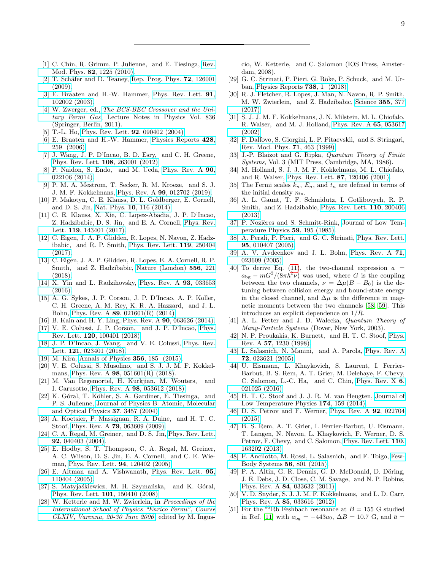- <span id="page-8-0"></span>[1] C. Chin, R. Grimm, P. Julienne, and E. Tiesinga, [Rev.](http://dx.doi.org/10.1103/RevModPhys.82.1225) Mod. Phys. 82[, 1225 \(2010\).](http://dx.doi.org/10.1103/RevModPhys.82.1225)
- <span id="page-8-1"></span>[2] T. Schäfer and D. Teaney, [Rep. Prog. Phys.](http://stacks.iop.org/0034-4885/72/i=12/a=126001) **72**, 126001 [\(2009\).](http://stacks.iop.org/0034-4885/72/i=12/a=126001)
- <span id="page-8-2"></span>[3] E. Braaten and H.-W. Hammer, [Phys. Rev. Lett.](http://dx.doi.org/10.1103/PhysRevLett.91.102002) 91, [102002 \(2003\).](http://dx.doi.org/10.1103/PhysRevLett.91.102002)
- <span id="page-8-3"></span>[4] W. Zwerger, ed., [The BCS-BEC Crossover and the Uni](https://books.google.nl/books?id=VjdUd5JbRooC)[tary Fermi Gas](https://books.google.nl/books?id=VjdUd5JbRooC), Lecture Notes in Physics Vol. 836 (Springer, Berlin, 2011).
- <span id="page-8-4"></span>[5] T.-L. Ho, [Phys. Rev. Lett.](http://dx.doi.org/10.1103/PhysRevLett.92.090402) **92**, 090402 (2004).
- <span id="page-8-5"></span>[6] E. Braaten and H.-W. Hammer, [Physics Reports](http://dx.doi.org/https://doi.org/10.1016/j.physrep.2006.03.001) 428, [259 \(2006\).](http://dx.doi.org/https://doi.org/10.1016/j.physrep.2006.03.001)
- <span id="page-8-6"></span>[7] J. Wang, J. P. D'Incao, B. D. Esry, and C. H. Greene, [Phys. Rev. Lett.](http://dx.doi.org/10.1103/PhysRevLett.108.263001) 108, 263001 (2012).
- <span id="page-8-49"></span>[8] P. Naidon, S. Endo, and M. Ueda, [Phys. Rev. A](http://dx.doi.org/ 10.1103/PhysRevA.90.022106) 90, [022106 \(2014\).](http://dx.doi.org/ 10.1103/PhysRevA.90.022106)
- <span id="page-8-7"></span>[9] P. M. A. Mestrom, T. Secker, R. M. Kroeze, and S. J. J. M. F. Kokkelmans, Phys. Rev. A 99[, 012702 \(2019\).](http://dx.doi.org/10.1103/PhysRevA.99.012702)
- <span id="page-8-8"></span>[10] P. Makotyn, C. E. Klauss, D. L. Goldberger, E. Cornell, and D. S. Jin, Nat. Phys. 10[, 116 \(2014\).](http://dx.doi.org/10.1038/nphys2850)
- <span id="page-8-13"></span>[11] C. E. Klauss, X. Xie, C. Lopez-Abadia, J. P. D'Incao, Z. Hadzibabic, D. S. Jin, and E. A. Cornell, [Phys. Rev.](http://dx.doi.org/ 10.1103/PhysRevLett.119.143401) Lett. 119[, 143401 \(2017\).](http://dx.doi.org/ 10.1103/PhysRevLett.119.143401)
- <span id="page-8-12"></span>[12] C. Eigen, J. A. P. Glidden, R. Lopes, N. Navon, Z. Hadzibabic, and R. P. Smith, [Phys. Rev. Lett.](http://dx.doi.org/ 10.1103/PhysRevLett.119.250404) 119, 250404 [\(2017\).](http://dx.doi.org/ 10.1103/PhysRevLett.119.250404)
- <span id="page-8-9"></span>[13] C. Eigen, J. A. P. Glidden, R. Lopes, E. A. Cornell, R. P. Smith, and Z. Hadzibabic, [Nature \(London\)](http://dx.doi.org/ 10.1038/s41586-018-0674-1) 556, 221 [\(2018\).](http://dx.doi.org/ 10.1038/s41586-018-0674-1)
- <span id="page-8-10"></span>[14] X. Yin and L. Radzihovsky, [Phys. Rev. A](http://dx.doi.org/10.1103/PhysRevA.93.033653) 93, 033653 [\(2016\).](http://dx.doi.org/10.1103/PhysRevA.93.033653)
- <span id="page-8-31"></span>[15] A. G. Sykes, J. P. Corson, J. P. D'Incao, A. P. Koller, C. H. Greene, A. M. Rey, K. R. A. Hazzard, and J. L. Bohn, Phys. Rev. A 89[, 021601\(R\) \(2014\).](http://dx.doi.org/10.1103/PhysRevA.89.021601)
- <span id="page-8-11"></span>[16] B. Kain and H. Y. Ling, Phys. Rev. A 90[, 063626 \(2014\).](http://dx.doi.org/10.1103/PhysRevA.90.063626)
- <span id="page-8-14"></span>[17] V. E. Colussi, J. P. Corson, and J. P. D'Incao, [Phys.](http://dx.doi.org/10.1103/PhysRevLett.120.100401) Rev. Lett. 120[, 100401 \(2018\).](http://dx.doi.org/10.1103/PhysRevLett.120.100401)
- <span id="page-8-15"></span>[18] J. P. D'Incao, J. Wang, and V. E. Colussi, [Phys. Rev.](http://dx.doi.org/10.1103/PhysRevLett.121.023401) Lett. **121**[, 023401 \(2018\).](http://dx.doi.org/10.1103/PhysRevLett.121.023401)
- <span id="page-8-16"></span>[19] M. Kira, [Annals of Physics](http://dx.doi.org/https://doi.org/10.1016/j.aop.2015.02.030) 356, 185 (2015).
- <span id="page-8-19"></span>[20] V. E. Colussi, S. Musolino, and S. J. J. M. F. Kokkelmans, Phys. Rev. A 98[, 051601\(R\) \(2018\).](http://dx.doi.org/10.1103/PhysRevA.98.051601)
- <span id="page-8-17"></span>[21] M. Van Regemortel, H. Kurkjian, M. Wouters, and I. Carusotto, Phys. Rev. A 98[, 053612 \(2018\).](http://dx.doi.org/10.1103/PhysRevA.98.053612)
- <span id="page-8-18"></span>[22] K. Góral, T. Köhler, S. A. Gardiner, E. Tiesinga, and P. S. Julienne, [Journal of Physics B: Atomic, Molecular](http://stacks.iop.org/0953-4075/37/i=17/a=006) [and Optical Physics](http://stacks.iop.org/0953-4075/37/i=17/a=006) 37, 3457 (2004).
- <span id="page-8-20"></span>[23] A. Koetsier, P. Massignan, R. A. Duine, and H. T. C. Stoof, Phys. Rev. A 79[, 063609 \(2009\).](http://dx.doi.org/10.1103/PhysRevA.79.063609)
- <span id="page-8-21"></span>[24] C. A. Regal, M. Greiner, and D. S. Jin, [Phys. Rev. Lett.](http://dx.doi.org/10.1103/PhysRevLett.92.040403) 92[, 040403 \(2004\).](http://dx.doi.org/10.1103/PhysRevLett.92.040403)
- <span id="page-8-48"></span>[25] E. Hodby, S. T. Thompson, C. A. Regal, M. Greiner, A. C. Wilson, D. S. Jin, E. A. Cornell, and C. E. Wieman, [Phys. Rev. Lett.](http://dx.doi.org/ 10.1103/PhysRevLett.94.120402) 94, 120402 (2005).
- <span id="page-8-23"></span>[26] E. Altman and A. Vishwanath, [Phys. Rev. Lett.](http://dx.doi.org/10.1103/PhysRevLett.95.110404) 95, [110404 \(2005\).](http://dx.doi.org/10.1103/PhysRevLett.95.110404)
- <span id="page-8-35"></span>[27] S. Matyjaśkiewicz, M. H. Szymańska, and K. Góral, [Phys. Rev. Lett.](http://dx.doi.org/10.1103/PhysRevLett.101.150410) 101, 150410 (2008).
- [28] W. Ketterle and M. W. Zwierlein, in [Proceedings of the](http://dx.doi.org/10.1393/ncr/i2008-10033-1) [International School of Physics "Enrico Fermi", Course](http://dx.doi.org/10.1393/ncr/i2008-10033-1) [CLXIV, Varenna, 20-30 June 2006](http://dx.doi.org/10.1393/ncr/i2008-10033-1) , edited by M. Ingus-

cio, W. Ketterle, and C. Salomon (IOS Press, Amsterdam, 2008).

- <span id="page-8-22"></span>[29] G. C. Strinati, P. Pieri, G. Röke, P. Schuck, and M. Urban, [Physics Reports](http://dx.doi.org/ https://doi.org/10.1016/j.physrep.2018.02.004) 738, 1 (2018).
- <span id="page-8-24"></span>[30] R. J. Fletcher, R. Lopes, J. Man, N. Navon, R. P. Smith, M. W. Zwierlein, and Z. Hadzibabic, [Science](http://dx.doi.org/10.1126/science.aai8195) 355, 377 [\(2017\).](http://dx.doi.org/10.1126/science.aai8195)
- <span id="page-8-25"></span>[31] S. J. J. M. F. Kokkelmans, J. N. Milstein, M. L. Chiofalo, R. Walser, and M. J. Holland, [Phys. Rev. A](http://dx.doi.org/10.1103/PhysRevA.65.053617) 65, 053617 [\(2002\).](http://dx.doi.org/10.1103/PhysRevA.65.053617)
- <span id="page-8-26"></span>[32] F. Dalfovo, S. Giorgini, L. P. Pitaevskii, and S. Stringari, [Rev. Mod. Phys.](http://dx.doi.org/10.1103/RevModPhys.71.463) 71, 463 (1999).
- <span id="page-8-27"></span>[33] J.-P. Blaizot and G. Ripka, *Quantum Theory of Finite* Systems, Vol. 3 (MIT Press, Cambridge, MA, 1986).
- <span id="page-8-28"></span>[34] M. Holland, S. J. J. M. F. Kokkelmans, M. L. Chiofalo, and R. Walser, [Phys. Rev. Lett.](http://dx.doi.org/10.1103/PhysRevLett.87.120406) 87, 120406 (2001).
- <span id="page-8-29"></span>[35] The Fermi scales  $k_n$ ,  $E_n$ , and  $t_n$  are defined in terms of the initial density  $n_{\text{in}}$ .
- <span id="page-8-30"></span>[36] A. L. Gaunt, T. F. Schmidutz, I. Gotlibovych, R. P. Smith, and Z. Hadzibabic, [Phys. Rev. Lett.](http://dx.doi.org/10.1103/PhysRevLett.110.200406) 110, 200406 [\(2013\).](http://dx.doi.org/10.1103/PhysRevLett.110.200406)
- <span id="page-8-32"></span>[37] P. Nozières and S. Schmitt-Rink, [Journal of Low Tem](http://dx.doi.org/10.1007/BF00683774)[perature Physics](http://dx.doi.org/10.1007/BF00683774) 59, 195 (1985).
- <span id="page-8-33"></span>[38] A. Perali, P. Pieri, and G. C. Strinati, [Phys. Rev. Lett.](http://dx.doi.org/10.1103/PhysRevLett.95.010407) 95[, 010407 \(2005\).](http://dx.doi.org/10.1103/PhysRevLett.95.010407)
- <span id="page-8-34"></span>[39] A. V. Avdeenkov and J. L. Bohn, [Phys. Rev. A](http://dx.doi.org/10.1103/PhysRevA.71.023609) 71, [023609 \(2005\).](http://dx.doi.org/10.1103/PhysRevA.71.023609)
- <span id="page-8-36"></span>[40] To derive Eq. [\(11\)](#page-3-4), the two-channel expression  $a =$  $a_{\text{bg}} - mG^2/(8\pi\hbar^2\nu)$  was used, where G is the coupling between the two channels,  $\nu = \Delta \mu (B - B_0)$  is the detuning between collision energy and bound-state energy in the closed channel, and  $\Delta \mu$  is the difference in magnetic moments between the two channels [\[58,](#page-9-6) [59\]](#page-9-7). This introduces an explicit dependence on 1/R.
- <span id="page-8-37"></span>[41] A. L. Fetter and J. D. Walecka, *Quantum Theory of* Many-Particle Systems (Dover, New York, 2003).
- <span id="page-8-38"></span>[42] N. P. Proukakis, K. Burnett, and H. T. C. Stoof, [Phys.](http://dx.doi.org/10.1103/PhysRevA.57.1230) Rev. A 57[, 1230 \(1998\).](http://dx.doi.org/10.1103/PhysRevA.57.1230)
- <span id="page-8-39"></span>[43] L. Salasnich, N. Manini, and A. Parola, [Phys. Rev. A](http://dx.doi.org/10.1103/PhysRevA.72.023621) 72[, 023621 \(2005\).](http://dx.doi.org/10.1103/PhysRevA.72.023621)
- <span id="page-8-40"></span>[44] U. Eismann, L. Khaykovich, S. Laurent, I. Ferrier-Barbut, B. S. Rem, A. T. Grier, M. Delehaye, F. Chevy, C. Salomon, L.-C. Ha, and C. Chin, [Phys. Rev. X](http://dx.doi.org/10.1103/PhysRevX.6.021025) 6, [021025 \(2016\).](http://dx.doi.org/10.1103/PhysRevX.6.021025)
- <span id="page-8-41"></span>[45] H. T. C. Stoof and J. J. R. M. van Heugten, [Journal of](http://dx.doi.org/10.1007/s10909-013-0958-7) [Low Temperature Physics](http://dx.doi.org/10.1007/s10909-013-0958-7) 174, 159 (2014).
- <span id="page-8-42"></span>[46] D. S. Petrov and F. Werner, [Phys. Rev. A](http://dx.doi.org/10.1103/PhysRevA.92.022704) 92, 022704 [\(2015\).](http://dx.doi.org/10.1103/PhysRevA.92.022704)
- <span id="page-8-43"></span>[47] B. S. Rem, A. T. Grier, I. Ferrier-Barbut, U. Eismann, T. Langen, N. Navon, L. Khaykovich, F. Werner, D. S. Petrov, F. Chevy, and C. Salomon, [Phys. Rev. Lett.](http://dx.doi.org/10.1103/PhysRevLett.110.163202) 110, [163202 \(2013\).](http://dx.doi.org/10.1103/PhysRevLett.110.163202)
- <span id="page-8-44"></span>[48] F. Ancilotto, M. Rossi, L. Salasnich, and F. Toigo, [Few-](http://dx.doi.org/10.1007/s00601-015-0971-2)[Body Systems](http://dx.doi.org/10.1007/s00601-015-0971-2) 56, 801 (2015).
- <span id="page-8-45"></span>[49] P. A. Altin, G. R. Dennis, G. D. McDonald, D. Döring, J. E. Debs, J. D. Close, C. M. Savage, and N. P. Robins, Phys. Rev. A 84[, 033632 \(2011\).](http://dx.doi.org/ 10.1103/PhysRevA.84.033632)
- <span id="page-8-46"></span>[50] V. D. Snyder, S. J. J. M. F. Kokkelmans, and L. D. Carr, Phys. Rev. A 85[, 033616 \(2012\).](http://dx.doi.org/10.1103/PhysRevA.85.033616)
- <span id="page-8-47"></span>[51] For the <sup>85</sup>Rb Feshbach resonance at  $B = 155$  G studied in Ref. [\[11\]](#page-8-13) with  $a_{\text{bg}} = -443a_0$ ,  $\Delta B = 10.7$  G, and  $\bar{a} =$